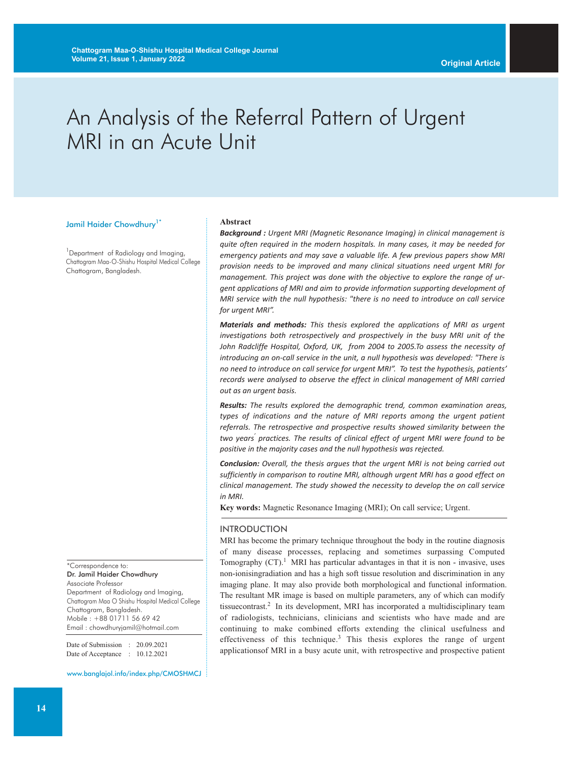# An Analysis of the Referral Pattern of Urgent MRI in an Acute Unit

#### Jamil Haider Chowdhury<sup>1\*</sup>

<sup>1</sup> Department of Radiology and Imaging, Chattogram Maa-O-Shishu Hospital Medical College Chattogram, Bangladesh.

\*Correspondence to: Dr. Jamil Haider Chowdhury Associate Professor Department of Radiology and Imaging, Chattogram Maa O Shishu Hospital Medical College Chattogram, Bangladesh. Mobile : +88 01711 56 69 42 Email : chowdhuryjamil@hotmail.com

Date of Submission : 20.09.2021 Date of Acceptance : 10.12.2021

www.banglajol.info/index.php/CMOSHMCJ

#### **Abstract**

*Background : Urgent MRI (Magnetic Resonance Imaging) in clinical management is quite often required in the modern hospitals. In many cases, it may be needed for emergency patients and may save a valuable life. A few previous papers show MRI provision needs to be improved and many clinical situations need urgent MRI for management. This project was done with the objective to explore the range of urgent applications of MRI and aim to provide information supporting development of MRI service with the null hypothesis: "there is no need to introduce on call service for urgent MRI".*

*Materials and methods: This thesis explored the applications of MRI as urgent investigations both retrospectively and prospectively in the busy MRI unit of the John Radcliffe Hospital, Oxford, UK, from 2004 to 2005.To assess the necessity of introducing an on-call service in the unit, a null hypothesis was developed: "There is no need to introduce on call service for urgent MRI". To test the hypothesis, patients' records were analysed to observe the effect in clinical management of MRI carried out as an urgent basis.*

*Results: The results explored the demographic trend, common examination areas, types of indications and the nature of MRI reports among the urgent patient referrals. The retrospective and prospective results showed similarity between the two years' practices. The results of clinical effect of urgent MRI were found to be positive in the majority cases and the null hypothesis was rejected.*

*Conclusion: Overall, the thesis argues that the urgent MRI is not being carried out sufficiently in comparison to routine MRI, although urgent MRI has a good effect on clinical management. The study showed the necessity to develop the on call service in MRI.*

**Key words:** Magnetic Resonance Imaging (MRI); On call service; Urgent.

#### INTRODUCTION

MRI has become the primary technique throughout the body in the routine diagnosis of many disease processes, replacing and sometimes surpassing Computed Tomography  $(CT)$ .<sup>1</sup> MRI has particular advantages in that it is non - invasive, uses non-ionisingradiation and has a high soft tissue resolution and discrimination in any imaging plane. It may also provide both morphological and functional information. The resultant MR image is based on multiple parameters, any of which can modify tissuecontrast. <sup>2</sup> In its development, MRI has incorporated a multidisciplinary team of radiologists, technicians, clinicians and scientists who have made and are continuing to make combined efforts extending the clinical usefulness and effectiveness of this technique.<sup>3</sup> This thesis explores the range of urgent applicationsof MRI in a busy acute unit, with retrospective and prospective patient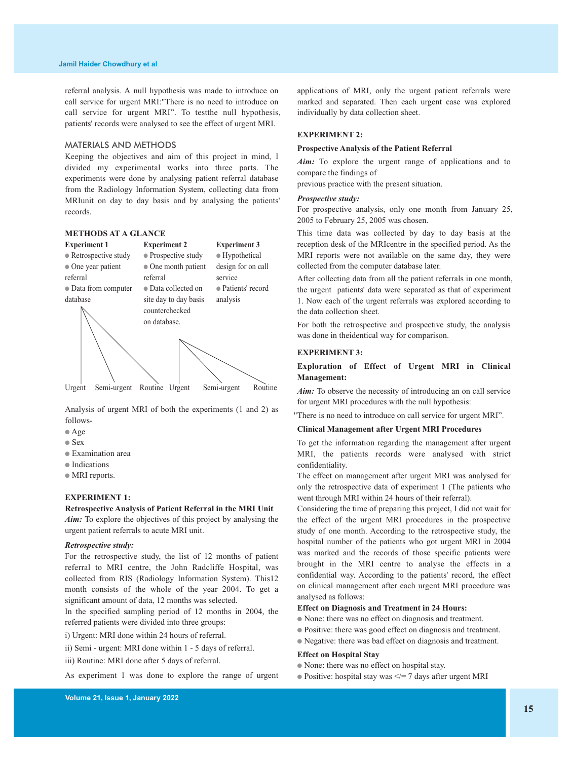referral analysis. A null hypothesis was made to introduce on call service for urgent MRI:"There is no need to introduce on call service for urgent MRI". To testthe null hypothesis, patients' records were analysed to see the effect of urgent MRI.

#### MATERIALS AND METHODS

Keeping the objectives and aim of this project in mind, I divided my experimental works into three parts. The experiments were done by analysing patient referral database from the Radiology Information System, collecting data from MRIunit on day to day basis and by analysing the patients' records.

# **METHODS AT A GLANCE**



Analysis of urgent MRI of both the experiments (1 and 2) as follows-

- Age
- Sex
- Examination area
- Indications
- MRI reports.

### **EXPERIMENT 1:**

**Retrospective Analysis of Patient Referral in the MRI Unit** *Aim:* To explore the objectives of this project by analysing the urgent patient referrals to acute MRI unit.

#### *Retrospective study:*

For the retrospective study, the list of 12 months of patient referral to MRI centre, the John Radcliffe Hospital, was collected from RIS (Radiology Information System). This12 month consists of the whole of the year 2004. To get a significant amount of data, 12 months was selected.

In the specified sampling period of 12 months in 2004, the referred patients were divided into three groups:

- i) Urgent: MRI done within 24 hours of referral.
- ii) Semi urgent: MRI done within 1 5 days of referral.
- iii) Routine: MRI done after 5 days of referral.

As experiment 1 was done to explore the range of urgent

applications of MRI, only the urgent patient referrals were marked and separated. Then each urgent case was explored individually by data collection sheet.

# **EXPERIMENT 2:**

#### **Prospective Analysis of the Patient Referral**

*Aim:* To explore the urgent range of applications and to compare the findings of

previous practice with the present situation.

#### *Prospective study:*

For prospective analysis, only one month from January 25, 2005 to February 25, 2005 was chosen.

This time data was collected by day to day basis at the reception desk of the MRIcentre in the specified period. As the MRI reports were not available on the same day, they were collected from the computer database later.

After collecting data from all the patient referrals in one month, the urgent patients' data were separated as that of experiment 1. Now each of the urgent referrals was explored according to the data collection sheet.

For both the retrospective and prospective study, the analysis was done in theidentical way for comparison.

# **EXPERIMENT 3:**

# **Exploration of Effect of Urgent MRI in Clinical Management:**

*Aim:* To observe the necessity of introducing an on call service for urgent MRI procedures with the null hypothesis:

"There is no need to introduce on call service for urgent MRI".

# **Clinical Management after Urgent MRI Procedures**

To get the information regarding the management after urgent MRI, the patients records were analysed with strict confidentiality.

The effect on management after urgent MRI was analysed for only the retrospective data of experiment 1 (The patients who went through MRI within 24 hours of their referral).

Considering the time of preparing this project, I did not wait for the effect of the urgent MRI procedures in the prospective study of one month. According to the retrospective study, the hospital number of the patients who got urgent MRI in 2004 was marked and the records of those specific patients were brought in the MRI centre to analyse the effects in a confidential way. According to the patients' record, the effect on clinical management after each urgent MRI procedure was analysed as follows:

# **Effect on Diagnosis and Treatment in 24 Hours:**

- None: there was no effect on diagnosis and treatment.
- Positive: there was good effect on diagnosis and treatment.
- Negative: there was bad effect on diagnosis and treatment.

#### **Effect on Hospital Stay**

- None: there was no effect on hospital stay.
- Positive: hospital stay was  $\leq$  = 7 days after urgent MRI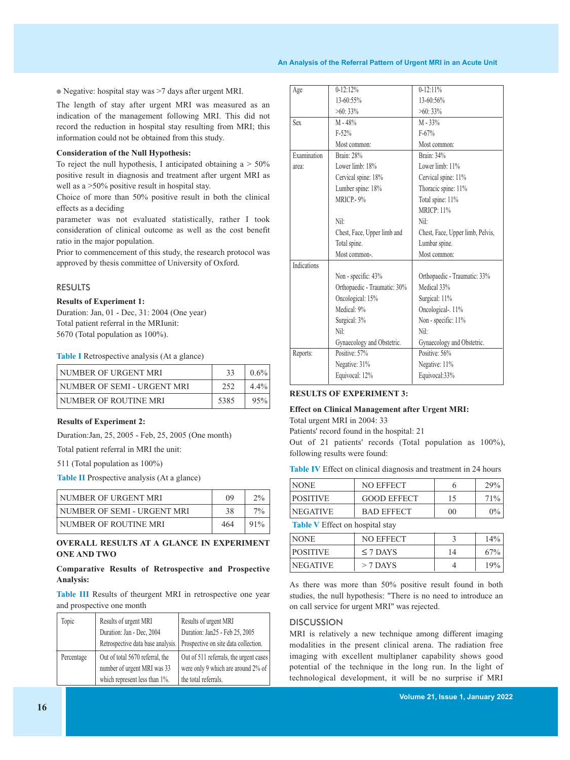#### **An Analysis of the Referral Pattern of Urgent MRI in an Acute Unit**

● Negative: hospital stay was >7 days after urgent MRI.

The length of stay after urgent MRI was measured as an indication of the management following MRI. This did not record the reduction in hospital stay resulting from MRI; this information could not be obtained from this study.

#### **Consideration of the Null Hypothesis:**

To reject the null hypothesis, I anticipated obtaining  $a > 50\%$ positive result in diagnosis and treatment after urgent MRI as well as a  $>50\%$  positive result in hospital stay.

Choice of more than 50% positive result in both the clinical effects as a deciding

parameter was not evaluated statistically, rather I took consideration of clinical outcome as well as the cost benefit ratio in the major population.

Prior to commencement of this study, the research protocol was approved by thesis committee of University of Oxford.

#### RESULTS

# **Results of Experiment 1:**

Duration: Jan, 01 - Dec, 31: 2004 (One year) Total patient referral in the MRIunit: 5670 (Total population as 100%).

**Table I** Retrospective analysis (At a glance)

| NUMBER OF URGENT MRI        | -33  | $0.6\%$ |
|-----------------------------|------|---------|
| NUMBER OF SEMI - URGENT MRI | 252  | $4.4\%$ |
| NUMBER OF ROUTINE MRI       | 5385 | 95%     |

#### **Results of Experiment 2:**

Duration:Jan, 25, 2005 - Feb, 25, 2005 (One month)

Total patient referral in MRI the unit:

511 (Total population as 100%)

**Table II** Prospective analysis (At a glance)

| NUMBER OF URGENT MRI        | $(1)$ <sup>Q</sup> | $2\%$  |
|-----------------------------|--------------------|--------|
| NUMBER OF SEMI - URGENT MRI | 38                 | $7\%$  |
| ' NUMBER OF ROUTINE MRI     | 464                | $91\%$ |

# **OVERALL RESULTS AT A GLANCE IN EXPERIMENT ONE AND TWO**

# **Comparative Results of Retrospective and Prospective Analysis:**

**Table III** Results of theurgent MRI in retrospective one year and prospective one month

| Topic      | Results of urgent MRI             | Results of urgent MRI                  |
|------------|-----------------------------------|----------------------------------------|
|            | Duration: Jan - Dec, 2004         | Duration: Jan25 - Feb 25, 2005         |
|            | Retrospective data base analysis. | Prospective on site data collection.   |
| Percentage | Out of total 5670 referral, the   | Out of 511 referrals, the urgent cases |
|            | number of urgent MRI was 33       | were only 9 which are around 2% of     |
|            | which represent less than 1%.     | the total referrals.                   |

| Age                | $0 - 12:12%$                 | $0-12:11%$                       |
|--------------------|------------------------------|----------------------------------|
|                    | 13-60:55%                    | 13-60:56%                        |
|                    | $>60:33\%$                   | $>60:33\%$                       |
| Sex                | $M - 48%$                    | $M - 33%$                        |
|                    | $F-52%$                      | $F-67%$                          |
|                    | Most common:                 | Most common:                     |
| Examination        | <b>Brain: 28%</b>            | Brain: 34%                       |
| area:              | Lower limb: 18%              | Lower limb: 11%                  |
|                    | Cervical spine: 18%          | Cervical spine: 11%              |
|                    | Lumber spine: 18%            | Thoracic spine: 11%              |
|                    | MRICP.-9%                    | Total spine: 11%                 |
|                    |                              | <b>MRICP: 11%</b>                |
|                    | Nil:                         | Nil:                             |
|                    | Chest, Face, Upper limb and  | Chest, Face, Upper limb, Pelvis, |
|                    | Total spine.                 | Lumbar spine.                    |
|                    | Most common-.                | Most common:                     |
| <b>Indications</b> |                              |                                  |
|                    | Non - specific: 43%          | Orthopaedic - Traumatic: 33%     |
|                    | Orthopaedic - Traumatic: 30% | Medical 33%                      |
|                    | Oncological: 15%             | Surgical: 11%                    |
|                    | Medical: 9%                  | Oncological-. 11%                |
|                    | Surgical: 3%                 | Non - specific: 11%              |
|                    | Nil:                         | Nil:                             |
|                    | Gynaecology and Obstetric.   | Gynaecology and Obstetric.       |
| Reports:           | Positive: 57%                | Positive: 56%                    |
|                    | Negative: 31%                | Negative: 11%                    |
|                    | Equivocal: 12%               | Equivocal:33%                    |
|                    |                              |                                  |

# **RESULTS OF EXPERIMENT 3:**

### **Effect on Clinical Management after Urgent MRI:** Total urgent MRI in 2004: 33

Patients' record found in the hospital: 21

Out of 21 patients' records (Total population as 100%), following results were found:

**Table IV** Effect on clinical diagnosis and treatment in 24 hours

| <b>NONE</b>     | NO EFFECT          |    | <b>29%</b> |
|-----------------|--------------------|----|------------|
| <b>POSITIVE</b> | <b>GOOD EFFECT</b> |    | 71\%       |
| <b>NEGATIVE</b> | <b>BAD EFFECT</b>  | 00 | $0\%$      |
|                 |                    |    |            |

**Table V** Effect on hospital stay

| <b>NONE</b>     | <b>NO EFFECT</b> |    | 14% |
|-----------------|------------------|----|-----|
| <b>POSITIVE</b> | $\leq$ 7 DAYS    | 14 | 67% |
| <b>NEGATIVE</b> | $>$ 7 DAYS       |    | 19% |

As there was more than 50% positive result found in both studies, the null hypothesis: "There is no need to introduce an on call service for urgent MRI" was rejected.

# **DISCUSSION**

MRI is relatively a new technique among different imaging modalities in the present clinical arena. The radiation free imaging with excellent multiplaner capability shows good potential of the technique in the long run. In the light of technological development, it will be no surprise if MRI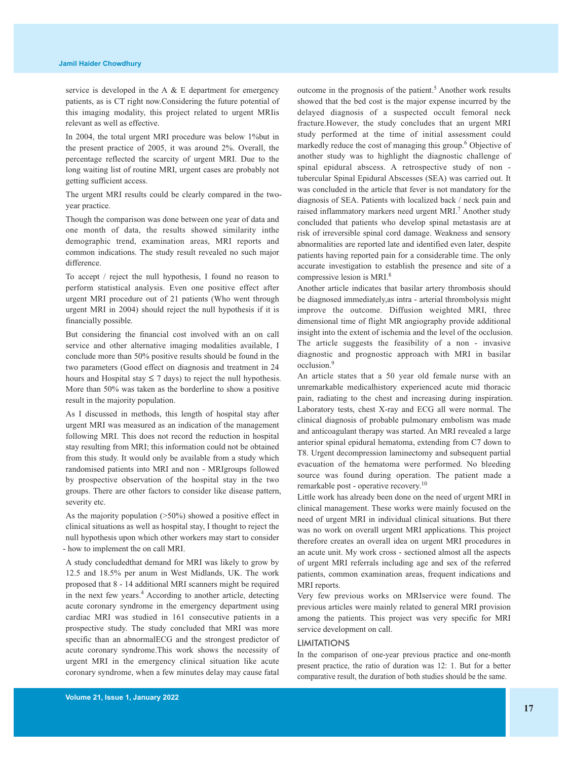service is developed in the A & E department for emergency patients, as is CT right now.Considering the future potential of this imaging modality, this project related to urgent MRIis relevant as well as effective.

In 2004, the total urgent MRI procedure was below 1%but in the present practice of 2005, it was around 2%. Overall, the percentage reflected the scarcity of urgent MRI. Due to the long waiting list of routine MRI, urgent cases are probably not getting sufficient access.

The urgent MRI results could be clearly compared in the twoyear practice.

Though the comparison was done between one year of data and one month of data, the results showed similarity inthe demographic trend, examination areas, MRI reports and common indications. The study result revealed no such major difference.

To accept / reject the null hypothesis, I found no reason to perform statistical analysis. Even one positive effect after urgent MRI procedure out of 21 patients (Who went through urgent MRI in 2004) should reject the null hypothesis if it is financially possible.

But considering the financial cost involved with an on call service and other alternative imaging modalities available, I conclude more than 50% positive results should be found in the two parameters (Good effect on diagnosis and treatment in 24 hours and Hospital stay  $\leq 7$  days) to reject the null hypothesis. More than 50% was taken as the borderline to show a positive result in the majority population.

As I discussed in methods, this length of hospital stay after urgent MRI was measured as an indication of the management following MRI. This does not record the reduction in hospital stay resulting from MRI; this information could not be obtained from this study. It would only be available from a study which randomised patients into MRI and non - MRIgroups followed by prospective observation of the hospital stay in the two groups. There are other factors to consider like disease pattern, severity etc.

As the majority population (>50%) showed a positive effect in clinical situations as well as hospital stay, I thought to reject the null hypothesis upon which other workers may start to consider - how to implement the on call MRI.

A study concludedthat demand for MRI was likely to grow by 12.5 and 18.5% per anum in West Midlands, UK. The work proposed that 8 - 14 additional MRI scanners might be required in the next few years. <sup>4</sup> According to another article, detecting acute coronary syndrome in the emergency department using cardiac MRI was studied in 161 consecutive patients in a prospective study. The study concluded that MRI was more specific than an abnormalECG and the strongest predictor of acute coronary syndrome.This work shows the necessity of urgent MRI in the emergency clinical situation like acute coronary syndrome, when a few minutes delay may cause fatal

outcome in the prognosis of the patient. <sup>5</sup> Another work results showed that the bed cost is the major expense incurred by the delayed diagnosis of a suspected occult femoral neck fracture.However, the study concludes that an urgent MRI study performed at the time of initial assessment could markedly reduce the cost of managing this group. <sup>6</sup> Objective of another study was to highlight the diagnostic challenge of spinal epidural abscess. A retrospective study of non tubercular Spinal Epidural Abscesses (SEA) was carried out. It was concluded in the article that fever is not mandatory for the diagnosis of SEA. Patients with localized back / neck pain and raised inflammatory markers need urgent MRI.<sup>7</sup> Another study concluded that patients who develop spinal metastasis are at risk of irreversible spinal cord damage. Weakness and sensory abnormalities are reported late and identified even later, despite patients having reported pain for a considerable time. The only accurate investigation to establish the presence and site of a compressive lesion is MRI. 8

Another article indicates that basilar artery thrombosis should be diagnosed immediately,as intra - arterial thrombolysis might improve the outcome. Diffusion weighted MRI, three dimensional time of flight MR angiography provide additional insight into the extent of ischemia and the level of the occlusion. The article suggests the feasibility of a non - invasive diagnostic and prognostic approach with MRI in basilar occlusion. 9

An article states that a 50 year old female nurse with an unremarkable medicalhistory experienced acute mid thoracic pain, radiating to the chest and increasing during inspiration. Laboratory tests, chest X-ray and ECG all were normal. The clinical diagnosis of probable pulmonary embolism was made and anticoagulant therapy was started. An MRI revealed a large anterior spinal epidural hematoma, extending from C7 down to T8. Urgent decompression laminectomy and subsequent partial evacuation of the hematoma were performed. No bleeding source was found during operation. The patient made a remarkable post - operative recovery.<sup>10</sup>

Little work has already been done on the need of urgent MRI in clinical management. These works were mainly focused on the need of urgent MRI in individual clinical situations. But there was no work on overall urgent MRI applications. This project therefore creates an overall idea on urgent MRI procedures in an acute unit. My work cross - sectioned almost all the aspects of urgent MRI referrals including age and sex of the referred patients, common examination areas, frequent indications and MRI reports.

Very few previous works on MRIservice were found. The previous articles were mainly related to general MRI provision among the patients. This project was very specific for MRI service development on call.

# LIMITATIONS

In the comparison of one-year previous practice and one-month present practice, the ratio of duration was 12: 1. But for a better comparative result, the duration of both studies should be the same.